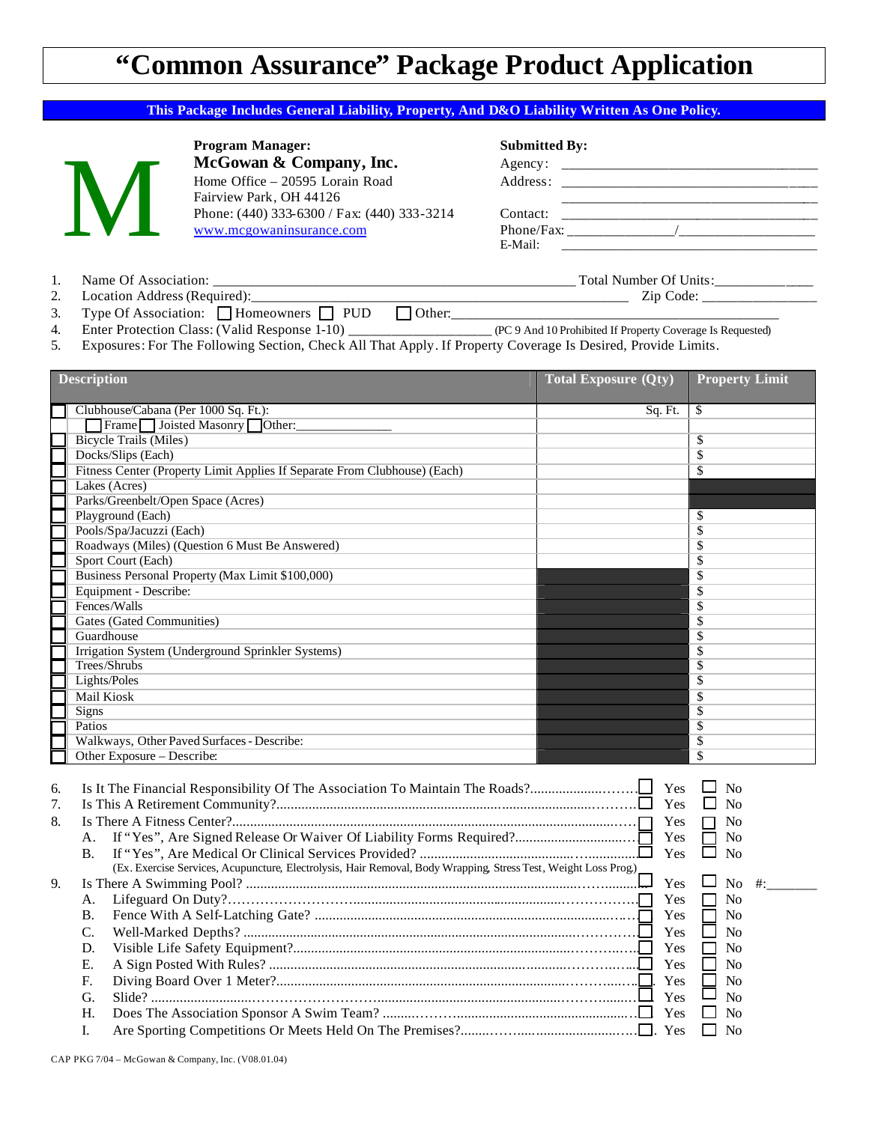## **"Common Assurance" Package Product Application**

## **This Package Includes General Liability, Property, And D&O Liability Written As One Policy.**

**Program Manager: Submitted By:** McGowan & Company, Inc. Home Office – 20595 Lorain Road Fairview Park, OH 44126 Phone: (440) 333-6300 / Fax: (440) 333-3214 www.mcgowaninsurance.com

| McGowan & Company, Inc.                     | Agency:    |
|---------------------------------------------|------------|
| Home Office – 20595 Lorain Road             | Address:   |
| Fairview Park, OH 44126                     |            |
| Phone: (440) 333-6300 / Fax: (440) 333-3214 | Contact:   |
| www.mcgowaninsurance.com                    | Phone/Fax: |
|                                             | E-Mail:    |

- 1. Name Of Association: \_\_\_\_\_\_\_\_\_\_\_\_\_\_\_\_\_\_\_\_\_\_\_\_\_\_\_\_\_\_\_\_\_\_\_\_\_\_\_\_\_\_\_\_\_\_\_\_\_\_\_ Total Number Of Units:\_\_\_\_\_\_\_\_\_\_\_\_\_\_
	- 2. Location Address (Required):\_\_\_\_\_\_\_\_\_\_\_\_\_\_\_\_\_\_\_\_\_\_\_\_\_\_\_\_\_\_\_\_\_\_\_\_\_\_\_\_\_\_\_\_\_\_\_\_\_\_\_\_\_ Zip Code: \_\_\_\_\_\_\_\_\_\_\_\_\_\_\_\_
	- 3. Type Of Association:  $\Box$  Homeowners  $\Box$  PUD  $\Box$  Other:
	- 4. Enter Protection Class: (Valid Response 1-10) \_\_\_\_\_\_\_\_\_\_\_\_\_\_\_\_\_\_\_\_ (PC 9 And 10 Prohibited If Property Coverage Is Requested)
	- 5. Exposures: For The Following Section, Check All That Apply. If Property Coverage Is Desired, Provide Limits.

| <b>Description</b>                                                                                                                                                                                                                        | <b>Total Exposure (Qty)</b>     | <b>Property Limit</b>                                                                                                             |
|-------------------------------------------------------------------------------------------------------------------------------------------------------------------------------------------------------------------------------------------|---------------------------------|-----------------------------------------------------------------------------------------------------------------------------------|
| Clubhouse/Cabana (Per 1000 Sq. Ft.):                                                                                                                                                                                                      | Sq. Ft.                         | S.                                                                                                                                |
| Frame Joisted Masonry Other:                                                                                                                                                                                                              |                                 |                                                                                                                                   |
| <b>Bicycle Trails (Miles)</b>                                                                                                                                                                                                             |                                 | \$                                                                                                                                |
| Docks/Slips (Each)                                                                                                                                                                                                                        |                                 | \$                                                                                                                                |
| Fitness Center (Property Limit Applies If Separate From Clubhouse) (Each)                                                                                                                                                                 |                                 | \$                                                                                                                                |
| Lakes (Acres)                                                                                                                                                                                                                             |                                 |                                                                                                                                   |
| Parks/Greenbelt/Open Space (Acres)                                                                                                                                                                                                        |                                 |                                                                                                                                   |
| Playground (Each)                                                                                                                                                                                                                         |                                 | \$                                                                                                                                |
| Pools/Spa/Jacuzzi (Each)                                                                                                                                                                                                                  |                                 | \$                                                                                                                                |
| Roadways (Miles) (Question 6 Must Be Answered)                                                                                                                                                                                            |                                 | \$                                                                                                                                |
| Sport Court (Each)                                                                                                                                                                                                                        |                                 | \$                                                                                                                                |
| Business Personal Property (Max Limit \$100,000)                                                                                                                                                                                          |                                 | \$                                                                                                                                |
| Equipment - Describe:                                                                                                                                                                                                                     |                                 | \$                                                                                                                                |
| Fences/Walls                                                                                                                                                                                                                              |                                 | $\overline{\$}$                                                                                                                   |
| <b>Gates (Gated Communities)</b>                                                                                                                                                                                                          |                                 | \$                                                                                                                                |
| Guardhouse                                                                                                                                                                                                                                |                                 | \$                                                                                                                                |
| Irrigation System (Underground Sprinkler Systems)                                                                                                                                                                                         |                                 | $\overline{\mathbb{S}}$                                                                                                           |
| Trees/Shrubs                                                                                                                                                                                                                              |                                 | \$                                                                                                                                |
| Lights/Poles                                                                                                                                                                                                                              |                                 | \$                                                                                                                                |
| <b>Mail Kiosk</b>                                                                                                                                                                                                                         |                                 | \$                                                                                                                                |
| <b>Signs</b>                                                                                                                                                                                                                              |                                 | \$                                                                                                                                |
| Patios                                                                                                                                                                                                                                    |                                 | \$                                                                                                                                |
| Walkways, Other Paved Surfaces - Describe:                                                                                                                                                                                                |                                 | \$                                                                                                                                |
| Other Exposure - Describe:                                                                                                                                                                                                                |                                 | \$                                                                                                                                |
| Is It The Financial Responsibility Of The Association To Maintain The Roads?<br>6.<br>7.<br>8.<br>А.<br>$\mathbf{B}$ .<br>(Ex. Exercise Services, Acupuncture, Electrolysis, Hair Removal, Body Wrapping, Stress Test, Weight Loss Prog.) | Yes<br>Yes<br>Yes<br>Yes<br>Yes | ப<br>N <sub>0</sub><br>□<br>N <sub>o</sub><br>П<br>N <sub>0</sub><br>N <sub>0</sub><br>П<br>$\Box$<br>N <sub>o</sub><br>$\Box$ No |
| 9.                                                                                                                                                                                                                                        | Yes                             | $\#$ :                                                                                                                            |
| А.                                                                                                                                                                                                                                        | Yes                             | N <sub>0</sub>                                                                                                                    |
| Β.                                                                                                                                                                                                                                        | Yes                             | No                                                                                                                                |
| C.                                                                                                                                                                                                                                        | Yes                             | N <sub>o</sub>                                                                                                                    |
| D.                                                                                                                                                                                                                                        | Yes                             | N <sub>0</sub>                                                                                                                    |
| E.                                                                                                                                                                                                                                        | Yes                             | $\Box$<br>No                                                                                                                      |
| F.                                                                                                                                                                                                                                        | Yes                             | No                                                                                                                                |
| G.                                                                                                                                                                                                                                        | Yes                             | $\Box$<br>No                                                                                                                      |
| H.                                                                                                                                                                                                                                        | Yes                             | N <sub>o</sub>                                                                                                                    |
| L.                                                                                                                                                                                                                                        |                                 | N <sub>0</sub><br>$\Box$                                                                                                          |
|                                                                                                                                                                                                                                           |                                 |                                                                                                                                   |